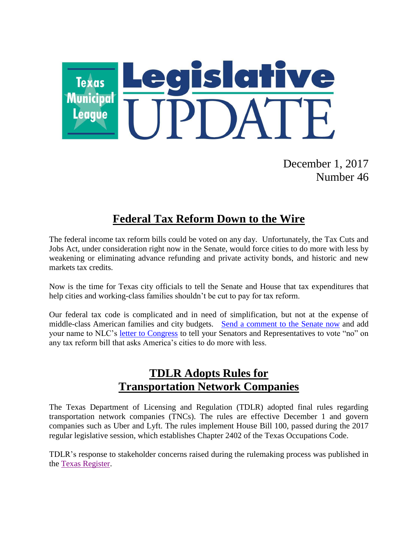

December 1, 2017 Number 46

## **Federal Tax Reform Down to the Wire**

The federal income tax reform bills could be voted on any day. Unfortunately, the Tax Cuts and Jobs Act, under consideration right now in the Senate, would force cities to do more with less by weakening or eliminating advance refunding and private activity bonds, and historic and new markets tax credits.

Now is the time for Texas city officials to tell the Senate and House that tax expenditures that help cities and working-class families shouldn't be cut to pay for tax reform.

Our federal tax code is complicated and in need of simplification, but not at the expense of middle-class American families and city budgets. [Send a comment to the Senate now](http://advocacy.nlc.org/nlc/app/write-a-letter?0&engagementId=418674) and add your name to NLC's [letter to Congress](http://www.nlc.org/StandWithCities) to tell your Senators and Representatives to vote "no" on any tax reform bill that asks America's cities to do more with less.

## **TDLR Adopts Rules for Transportation Network Companies**

The Texas Department of Licensing and Regulation (TDLR) adopted final rules regarding transportation network companies (TNCs). The rules are effective December 1 and govern companies such as Uber and Lyft. The rules implement House Bill 100, passed during the 2017 regular legislative session, which establishes Chapter 2402 of the Texas Occupations Code.

TDLR's response to stakeholder concerns raised during the rulemaking process was published in the [Texas Register.](https://www.tdlr.texas.gov/tnc/tncjust.htm)